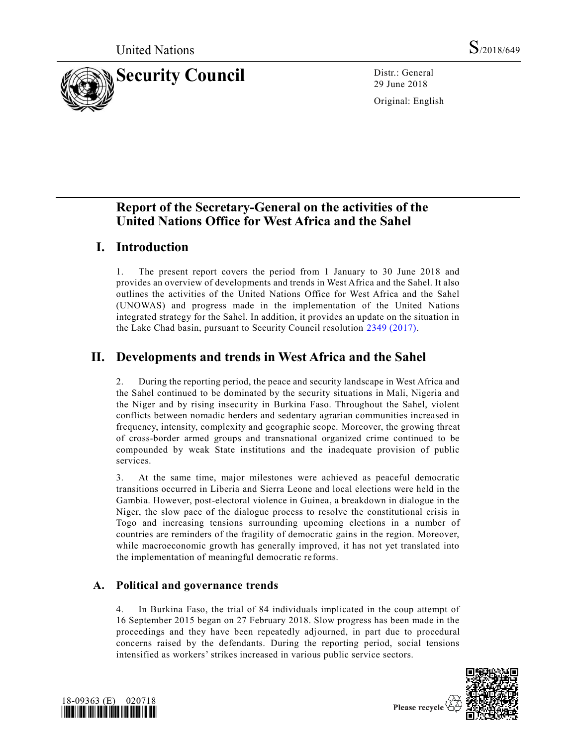

29 June 2018

Original: English

# **Report of the Secretary-General on the activities of the United Nations Office for West Africa and the Sahel**

# **I. Introduction**

1. The present report covers the period from 1 January to 30 June 2018 and provides an overview of developments and trends in West Africa and the Sahel. It also outlines the activities of the United Nations Office for West Africa and the Sahel (UNOWAS) and progress made in the implementation of the United Nations integrated strategy for the Sahel. In addition, it provides an update on the situation in the Lake Chad basin, pursuant to Security Council resolution [2349 \(2017\).](https://undocs.org/S/RES/2349(2017))

# **II. Developments and trends in West Africa and the Sahel**

2. During the reporting period, the peace and security landscape in West Africa and the Sahel continued to be dominated by the security situations in Mali, Nigeria and the Niger and by rising insecurity in Burkina Faso. Throughout the Sahel, violent conflicts between nomadic herders and sedentary agrarian communities increased in frequency, intensity, complexity and geographic scope. Moreover, the growing threat of cross-border armed groups and transnational organized crime continued to be compounded by weak State institutions and the inadequate provision of public services.

3. At the same time, major milestones were achieved as peaceful democratic transitions occurred in Liberia and Sierra Leone and local elections were held in the Gambia. However, post-electoral violence in Guinea, a breakdown in dialogue in the Niger, the slow pace of the dialogue process to resolve the constitutional crisis in Togo and increasing tensions surrounding upcoming elections in a number of countries are reminders of the fragility of democratic gains in the region. Moreover, while macroeconomic growth has generally improved, it has not yet translated into the implementation of meaningful democratic reforms.

## **A. Political and governance trends**

4. In Burkina Faso, the trial of 84 individuals implicated in the coup attempt of 16 September 2015 began on 27 February 2018. Slow progress has been made in the proceedings and they have been repeatedly adjourned, in part due to procedural concerns raised by the defendants. During the reporting period, social tensions intensified as workers' strikes increased in various public service sectors.



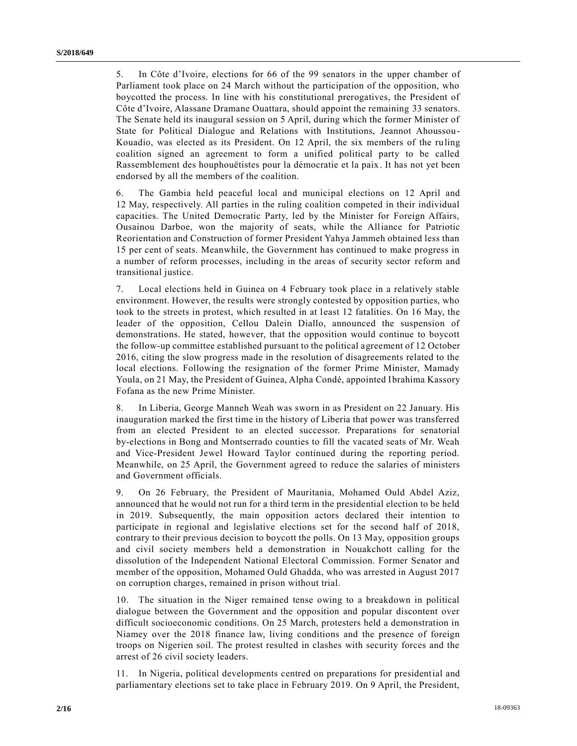5. In Côte d'Ivoire, elections for 66 of the 99 senators in the upper chamber of Parliament took place on 24 March without the participation of the opposition, who boycotted the process. In line with his constitutional prerogatives, the President of Côte d'Ivoire, Alassane Dramane Ouattara, should appoint the remaining 33 senators. The Senate held its inaugural session on 5 April, during which the former Minister of State for Political Dialogue and Relations with Institutions, Jeannot Ahoussou-Kouadio, was elected as its President. On 12 April, the six members of the ruling coalition signed an agreement to form a unified political party to be called Rassemblement des houphouëtistes pour la démocratie et la paix. It has not yet been endorsed by all the members of the coalition.

6. The Gambia held peaceful local and municipal elections on 12 April and 12 May, respectively. All parties in the ruling coalition competed in their individual capacities. The United Democratic Party, led by the Minister for Foreign Affairs, Ousainou Darboe, won the majority of seats, while the Alliance for Patriotic Reorientation and Construction of former President Yahya Jammeh obtained less than 15 per cent of seats. Meanwhile, the Government has continued to make progress in a number of reform processes, including in the areas of security sector reform and transitional justice.

7. Local elections held in Guinea on 4 February took place in a relatively stable environment. However, the results were strongly contested by opposition parties, who took to the streets in protest, which resulted in at least 12 fatalities. On 16 May, the leader of the opposition, Cellou Dalein Diallo, announced the suspension of demonstrations. He stated, however, that the opposition would continue to boycott the follow-up committee established pursuant to the political agreement of 12 October 2016, citing the slow progress made in the resolution of disagreements related to the local elections. Following the resignation of the former Prime Minister, Mamady Youla, on 21 May, the President of Guinea, Alpha Condé, appointed Ibrahima Kassory Fofana as the new Prime Minister.

8. In Liberia, George Manneh Weah was sworn in as President on 22 January. His inauguration marked the first time in the history of Liberia that power was transferred from an elected President to an elected successor. Preparations for senatorial by-elections in Bong and Montserrado counties to fill the vacated seats of Mr. Weah and Vice-President Jewel Howard Taylor continued during the reporting period. Meanwhile, on 25 April, the Government agreed to reduce the salaries of ministers and Government officials.

9. On 26 February, the President of Mauritania, Mohamed Ould Abdel Aziz, announced that he would not run for a third term in the presidential election to be held in 2019. Subsequently, the main opposition actors declared their intention to participate in regional and legislative elections set for the second half of 2018, contrary to their previous decision to boycott the polls. On 13 May, opposition groups and civil society members held a demonstration in Nouakchott calling for the dissolution of the Independent National Electoral Commission. Former Senator and member of the opposition, Mohamed Ould Ghadda, who was arrested in August 2017 on corruption charges, remained in prison without trial.

10. The situation in the Niger remained tense owing to a breakdown in political dialogue between the Government and the opposition and popular discontent over difficult socioeconomic conditions. On 25 March, protesters held a demonstration in Niamey over the 2018 finance law, living conditions and the presence of foreign troops on Nigerien soil. The protest resulted in clashes with security forces and the arrest of 26 civil society leaders.

11. In Nigeria, political developments centred on preparations for presidential and parliamentary elections set to take place in February 2019. On 9 April, the President,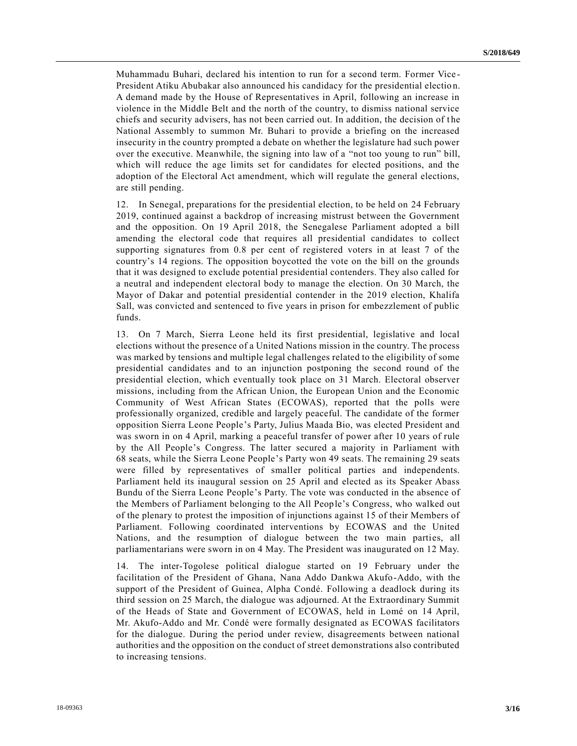Muhammadu Buhari, declared his intention to run for a second term. Former Vice - President Atiku Abubakar also announced his candidacy for the presidential electio n. A demand made by the House of Representatives in April, following an increase in violence in the Middle Belt and the north of the country, to dismiss national service chiefs and security advisers, has not been carried out. In addition, the decision of t he National Assembly to summon Mr. Buhari to provide a briefing on the increased insecurity in the country prompted a debate on whether the legislature had such power over the executive. Meanwhile, the signing into law of a "not too young to run" bill, which will reduce the age limits set for candidates for elected positions, and the adoption of the Electoral Act amendment, which will regulate the general elections, are still pending.

12. In Senegal, preparations for the presidential election, to be held on 24 February 2019, continued against a backdrop of increasing mistrust between the Government and the opposition. On 19 April 2018, the Senegalese Parliament adopted a bill amending the electoral code that requires all presidential candidates to collect supporting signatures from 0.8 per cent of registered voters in at least 7 of the country's 14 regions. The opposition boycotted the vote on the bill on the grounds that it was designed to exclude potential presidential contenders. They also called for a neutral and independent electoral body to manage the election. On 30 March, the Mayor of Dakar and potential presidential contender in the 2019 election, Khalifa Sall, was convicted and sentenced to five years in prison for embezzlement of public funds.

13. On 7 March, Sierra Leone held its first presidential, legislative and local elections without the presence of a United Nations mission in the country. The process was marked by tensions and multiple legal challenges related to the eligibility of some presidential candidates and to an injunction postponing the second round of the presidential election, which eventually took place on 31 March. Electoral observer missions, including from the African Union, the European Union and the Economic Community of West African States (ECOWAS), reported that the polls were professionally organized, credible and largely peaceful. The candidate of the former opposition Sierra Leone People's Party, Julius Maada Bio, was elected President and was sworn in on 4 April, marking a peaceful transfer of power after 10 years of rule by the All People's Congress. The latter secured a majority in Parliament with 68 seats, while the Sierra Leone People's Party won 49 seats. The remaining 29 seats were filled by representatives of smaller political parties and independents. Parliament held its inaugural session on 25 April and elected as its Speaker Abass Bundu of the Sierra Leone People's Party. The vote was conducted in the absence of the Members of Parliament belonging to the All People's Congress, who walked out of the plenary to protest the imposition of injunctions against 15 of their Members of Parliament. Following coordinated interventions by ECOWAS and the United Nations, and the resumption of dialogue between the two main parties, all parliamentarians were sworn in on 4 May. The President was inaugurated on 12 May.

14. The inter-Togolese political dialogue started on 19 February under the facilitation of the President of Ghana, Nana Addo Dankwa Akufo-Addo, with the support of the President of Guinea, Alpha Condé. Following a deadlock during its third session on 25 March, the dialogue was adjourned. At the Extraordinary Summit of the Heads of State and Government of ECOWAS, held in Lomé on 14 April, Mr. Akufo-Addo and Mr. Condé were formally designated as ECOWAS facilitators for the dialogue. During the period under review, disagreements between national authorities and the opposition on the conduct of street demonstrations also contributed to increasing tensions.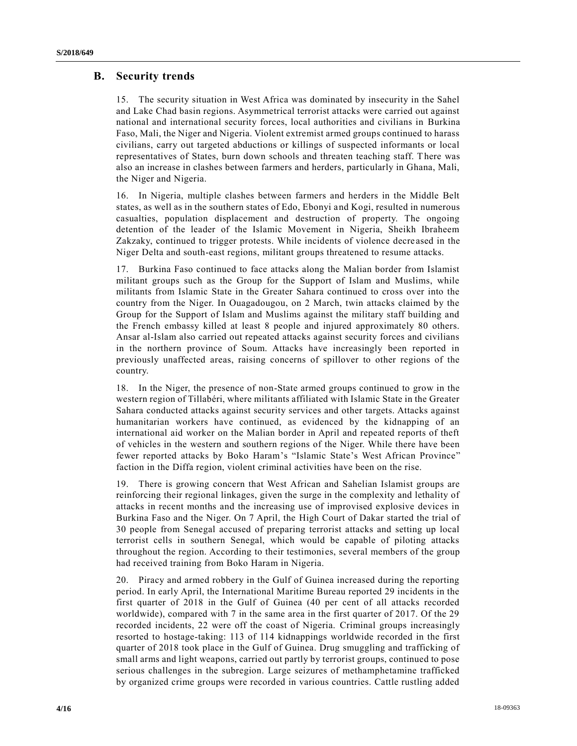## **B. Security trends**

15. The security situation in West Africa was dominated by insecurity in the Sahel and Lake Chad basin regions. Asymmetrical terrorist attacks were carried out against national and international security forces, local authorities and civilians in Burkina Faso, Mali, the Niger and Nigeria. Violent extremist armed groups continued to harass civilians, carry out targeted abductions or killings of suspected informants or local representatives of States, burn down schools and threaten teaching staff. There was also an increase in clashes between farmers and herders, particularly in Ghana, Mali, the Niger and Nigeria.

16. In Nigeria, multiple clashes between farmers and herders in the Middle Belt states, as well as in the southern states of Edo, Ebonyi and Kogi, resulted in numerous casualties, population displacement and destruction of property. The ongoing detention of the leader of the Islamic Movement in Nigeria, Sheikh Ibraheem Zakzaky, continued to trigger protests. While incidents of violence decre ased in the Niger Delta and south-east regions, militant groups threatened to resume attacks.

17. Burkina Faso continued to face attacks along the Malian border from Islamist militant groups such as the Group for the Support of Islam and Muslims, while militants from Islamic State in the Greater Sahara continued to cross over into the country from the Niger. In Ouagadougou, on 2 March, twin attacks claimed by the Group for the Support of Islam and Muslims against the military staff building and the French embassy killed at least 8 people and injured approximately 80 others. Ansar al-Islam also carried out repeated attacks against security forces and civilians in the northern province of Soum. Attacks have increasingly been reported in previously unaffected areas, raising concerns of spillover to other regions of the country.

18. In the Niger, the presence of non-State armed groups continued to grow in the western region of Tillabéri, where militants affiliated with Islamic State in the Greater Sahara conducted attacks against security services and other targets. Attacks against humanitarian workers have continued, as evidenced by the kidnapping of an international aid worker on the Malian border in April and repeated reports of theft of vehicles in the western and southern regions of the Niger. While there have been fewer reported attacks by Boko Haram's "Islamic State's West African Province" faction in the Diffa region, violent criminal activities have been on the rise.

19. There is growing concern that West African and Sahelian Islamist groups are reinforcing their regional linkages, given the surge in the complexity and lethality of attacks in recent months and the increasing use of improvised explosive devices in Burkina Faso and the Niger. On 7 April, the High Court of Dakar started the trial of 30 people from Senegal accused of preparing terrorist attacks and setting up local terrorist cells in southern Senegal, which would be capable of piloting attacks throughout the region. According to their testimonies, several members of the group had received training from Boko Haram in Nigeria.

20. Piracy and armed robbery in the Gulf of Guinea increased during the reporting period. In early April, the International Maritime Bureau reported 29 incidents in the first quarter of 2018 in the Gulf of Guinea (40 per cent of all attacks recorded worldwide), compared with 7 in the same area in the first quarter of 2017. Of the 29 recorded incidents, 22 were off the coast of Nigeria. Criminal groups increasingly resorted to hostage-taking: 113 of 114 kidnappings worldwide recorded in the first quarter of 2018 took place in the Gulf of Guinea. Drug smuggling and trafficking of small arms and light weapons, carried out partly by terrorist groups, continued to pose serious challenges in the subregion. Large seizures of methamphetamine trafficked by organized crime groups were recorded in various countries. Cattle rustling added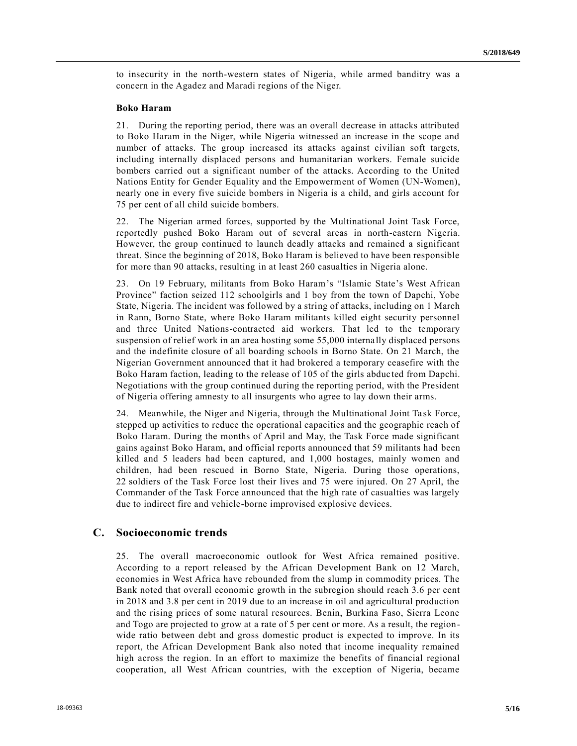to insecurity in the north-western states of Nigeria, while armed banditry was a concern in the Agadez and Maradi regions of the Niger.

### **Boko Haram**

21. During the reporting period, there was an overall decrease in attacks attributed to Boko Haram in the Niger, while Nigeria witnessed an increase in the scope and number of attacks. The group increased its attacks against civilian soft targets, including internally displaced persons and humanitarian workers. Female suicide bombers carried out a significant number of the attacks. According to the United Nations Entity for Gender Equality and the Empowerment of Women (UN-Women), nearly one in every five suicide bombers in Nigeria is a child, and girls account for 75 per cent of all child suicide bombers.

22. The Nigerian armed forces, supported by the Multinational Joint Task Force, reportedly pushed Boko Haram out of several areas in north-eastern Nigeria. However, the group continued to launch deadly attacks and remained a significant threat. Since the beginning of 2018, Boko Haram is believed to have been responsible for more than 90 attacks, resulting in at least 260 casualties in Nigeria alone.

23. On 19 February, militants from Boko Haram's "Islamic State's West African Province" faction seized 112 schoolgirls and 1 boy from the town of Dapchi, Yobe State, Nigeria. The incident was followed by a string of attacks, including on 1 March in Rann, Borno State, where Boko Haram militants killed eight security personnel and three United Nations-contracted aid workers. That led to the temporary suspension of relief work in an area hosting some 55,000 internally displaced persons and the indefinite closure of all boarding schools in Borno State. On 21 March, the Nigerian Government announced that it had brokered a temporary ceasefire with the Boko Haram faction, leading to the release of 105 of the girls abduc ted from Dapchi. Negotiations with the group continued during the reporting period, with the President of Nigeria offering amnesty to all insurgents who agree to lay down their arms.

24. Meanwhile, the Niger and Nigeria, through the Multinational Joint Task Force, stepped up activities to reduce the operational capacities and the geographic reach of Boko Haram. During the months of April and May, the Task Force made significant gains against Boko Haram, and official reports announced that 59 militants had been killed and 5 leaders had been captured, and 1,000 hostages, mainly women and children, had been rescued in Borno State, Nigeria. During those operations, 22 soldiers of the Task Force lost their lives and 75 were injured. On 27 April, the Commander of the Task Force announced that the high rate of casualties was largely due to indirect fire and vehicle-borne improvised explosive devices.

### **C. Socioeconomic trends**

25. The overall macroeconomic outlook for West Africa remained positive. According to a report released by the African Development Bank on 12 March, economies in West Africa have rebounded from the slump in commodity prices. The Bank noted that overall economic growth in the subregion should reach 3.6 per cent in 2018 and 3.8 per cent in 2019 due to an increase in oil and agricultural production and the rising prices of some natural resources. Benin, Burkina Faso, Sierra Leone and Togo are projected to grow at a rate of 5 per cent or more. As a result, the regionwide ratio between debt and gross domestic product is expected to improve. In its report, the African Development Bank also noted that income inequality remained high across the region. In an effort to maximize the benefits of financial regional cooperation, all West African countries, with the exception of Nigeria, became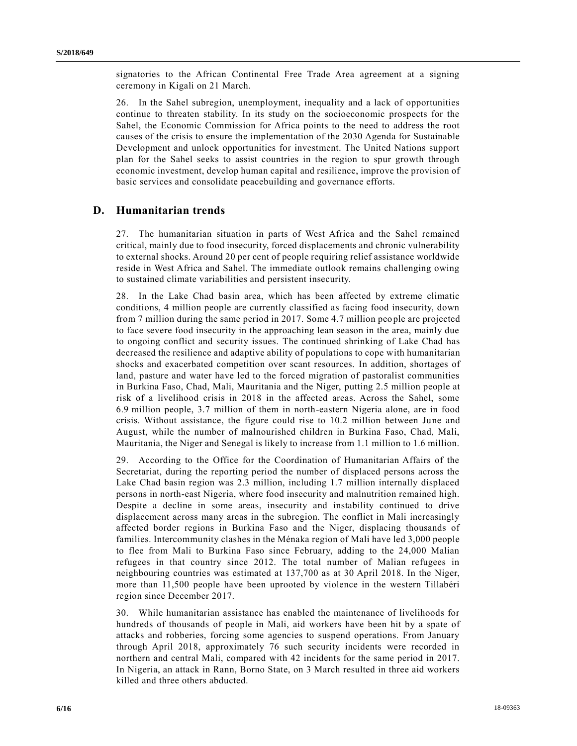signatories to the African Continental Free Trade Area agreement at a signing ceremony in Kigali on 21 March.

26. In the Sahel subregion, unemployment, inequality and a lack of opportunities continue to threaten stability. In its study on the socioeconomic prospects for the Sahel, the Economic Commission for Africa points to the need to address the root causes of the crisis to ensure the implementation of the 2030 Agenda for Sustainable Development and unlock opportunities for investment. The United Nations support plan for the Sahel seeks to assist countries in the region to spur growth through economic investment, develop human capital and resilience, improve the provision of basic services and consolidate peacebuilding and governance efforts.

### **D. Humanitarian trends**

27. The humanitarian situation in parts of West Africa and the Sahel remained critical, mainly due to food insecurity, forced displacements and chronic vulnerability to external shocks. Around 20 per cent of people requiring relief assistance worldwide reside in West Africa and Sahel. The immediate outlook remains challenging owing to sustained climate variabilities and persistent insecurity.

28. In the Lake Chad basin area, which has been affected by extreme climatic conditions, 4 million people are currently classified as facing food insecurity, down from 7 million during the same period in 2017. Some 4.7 million people are projected to face severe food insecurity in the approaching lean season in the area, mainly due to ongoing conflict and security issues. The continued shrinking of Lake Chad has decreased the resilience and adaptive ability of populations to cope with humanitarian shocks and exacerbated competition over scant resources. In addition, shortages of land, pasture and water have led to the forced migration of pastoralist communities in Burkina Faso, Chad, Mali, Mauritania and the Niger, putting 2.5 million people at risk of a livelihood crisis in 2018 in the affected areas. Across the Sahel, some 6.9 million people, 3.7 million of them in north-eastern Nigeria alone, are in food crisis. Without assistance, the figure could rise to 10.2 million between June and August, while the number of malnourished children in Burkina Faso, Chad, Mali, Mauritania, the Niger and Senegal is likely to increase from 1.1 million to 1.6 million.

29. According to the Office for the Coordination of Humanitarian Affairs of the Secretariat, during the reporting period the number of displaced persons across the Lake Chad basin region was 2.3 million, including 1.7 million internally displaced persons in north-east Nigeria, where food insecurity and malnutrition remained high. Despite a decline in some areas, insecurity and instability continued to drive displacement across many areas in the subregion. The conflict in Mali increasingly affected border regions in Burkina Faso and the Niger, displacing thousands of families. Intercommunity clashes in the Ménaka region of Mali have led 3,000 people to flee from Mali to Burkina Faso since February, adding to the 24,000 Malian refugees in that country since 2012. The total number of Malian refugees in neighbouring countries was estimated at 137,700 as at 30 April 2018. In the Niger, more than 11,500 people have been uprooted by violence in the western Tillabéri region since December 2017.

30. While humanitarian assistance has enabled the maintenance of livelihoods for hundreds of thousands of people in Mali, aid workers have been hit by a spate of attacks and robberies, forcing some agencies to suspend operations. From January through April 2018, approximately 76 such security incidents were recorded in northern and central Mali, compared with 42 incidents for the same period in 2017. In Nigeria, an attack in Rann, Borno State, on 3 March resulted in three aid workers killed and three others abducted.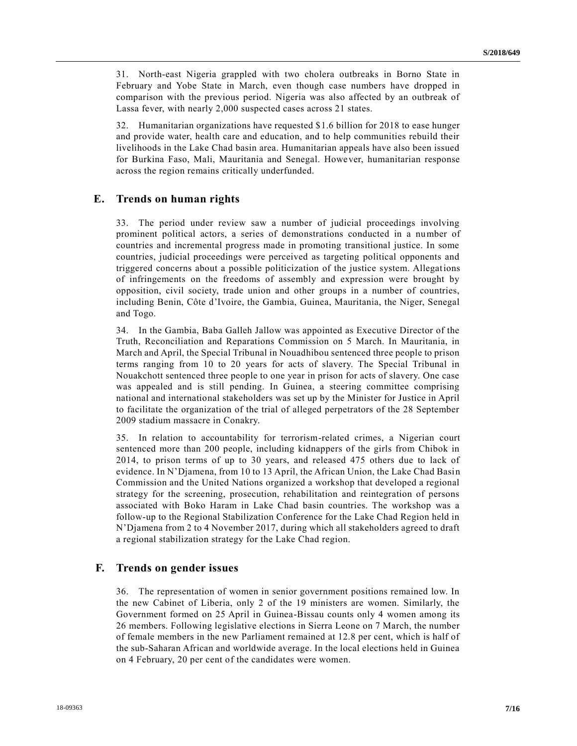31. North-east Nigeria grappled with two cholera outbreaks in Borno State in February and Yobe State in March, even though case numbers have dropped in comparison with the previous period. Nigeria was also affected by an outbreak of Lassa fever, with nearly 2,000 suspected cases across 21 states.

32. Humanitarian organizations have requested \$1.6 billion for 2018 to ease hunger and provide water, health care and education, and to help communities rebuild their livelihoods in the Lake Chad basin area. Humanitarian appeals have also been issued for Burkina Faso, Mali, Mauritania and Senegal. However, humanitarian response across the region remains critically underfunded.

### **E. Trends on human rights**

33. The period under review saw a number of judicial proceedings involving prominent political actors, a series of demonstrations conducted in a number of countries and incremental progress made in promoting transitional justice. In some countries, judicial proceedings were perceived as targeting political opponents and triggered concerns about a possible politicization of the justice system. Allegations of infringements on the freedoms of assembly and expression were brought by opposition, civil society, trade union and other groups in a number of countries, including Benin, Côte d'Ivoire, the Gambia, Guinea, Mauritania, the Niger, Senegal and Togo.

34. In the Gambia, Baba Galleh Jallow was appointed as Executive Director of the Truth, Reconciliation and Reparations Commission on 5 March. In Mauritania, in March and April, the Special Tribunal in Nouadhibou sentenced three people to prison terms ranging from 10 to 20 years for acts of slavery. The Special Tribunal in Nouakchott sentenced three people to one year in prison for acts of slavery. One case was appealed and is still pending. In Guinea, a steering committee comprising national and international stakeholders was set up by the Minister for Justice in April to facilitate the organization of the trial of alleged perpetrators of the 28 September 2009 stadium massacre in Conakry.

35. In relation to accountability for terrorism-related crimes, a Nigerian court sentenced more than 200 people, including kidnappers of the girls from Chibok in 2014, to prison terms of up to 30 years, and released 475 others due to lack of evidence. In N'Djamena, from 10 to 13 April, the African Union, the Lake Chad Basin Commission and the United Nations organized a workshop that developed a regional strategy for the screening, prosecution, rehabilitation and reintegration of persons associated with Boko Haram in Lake Chad basin countries. The workshop was a follow-up to the Regional Stabilization Conference for the Lake Chad Region held in N'Djamena from 2 to 4 November 2017, during which all stakeholders agreed to draft a regional stabilization strategy for the Lake Chad region.

### **F. Trends on gender issues**

36. The representation of women in senior government positions remained low. In the new Cabinet of Liberia, only 2 of the 19 ministers are women. Similarly, the Government formed on 25 April in Guinea-Bissau counts only 4 women among its 26 members. Following legislative elections in Sierra Leone on 7 March, the number of female members in the new Parliament remained at 12.8 per cent, which is half of the sub-Saharan African and worldwide average. In the local elections held in Guinea on 4 February, 20 per cent of the candidates were women.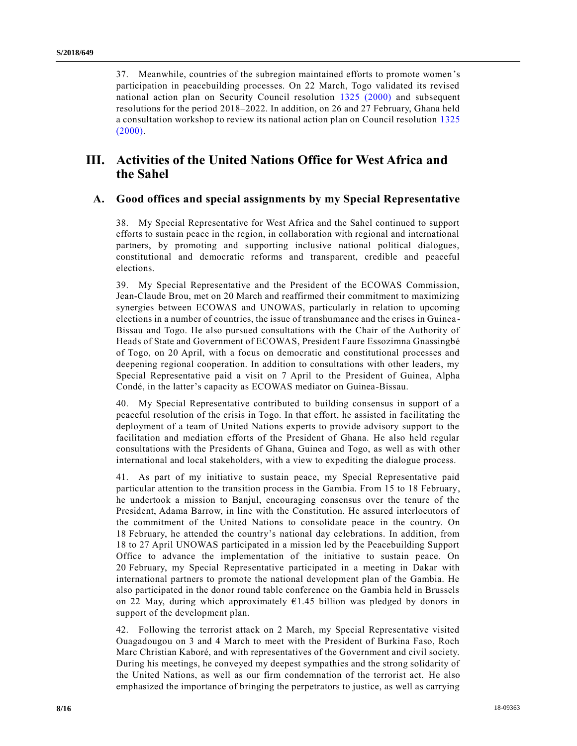37. Meanwhile, countries of the subregion maintained efforts to promote women's participation in peacebuilding processes. On 22 March, Togo validated its revised national action plan on Security Council resolution [1325 \(2000\)](https://undocs.org/S/RES/1325(2000)) and subsequent resolutions for the period 2018–2022. In addition, on 26 and 27 February, Ghana held a consultation workshop to review its national action plan on Council resolution [1325](https://undocs.org/S/RES/1325(2000))  [\(2000\).](https://undocs.org/S/RES/1325(2000))

# **III. Activities of the United Nations Office for West Africa and the Sahel**

## **A. Good offices and special assignments by my Special Representative**

38. My Special Representative for West Africa and the Sahel continued to support efforts to sustain peace in the region, in collaboration with regional and international partners, by promoting and supporting inclusive national political dialogues, constitutional and democratic reforms and transparent, credible and peaceful elections.

39. My Special Representative and the President of the ECOWAS Commission, Jean-Claude Brou, met on 20 March and reaffirmed their commitment to maximizing synergies between ECOWAS and UNOWAS, particularly in relation to upcoming elections in a number of countries, the issue of transhumance and the crises in Guinea - Bissau and Togo. He also pursued consultations with the Chair of the Authority of Heads of State and Government of ECOWAS, President Faure Essozimna Gnassingbé of Togo, on 20 April, with a focus on democratic and constitutional processes and deepening regional cooperation. In addition to consultations with other leaders, my Special Representative paid a visit on 7 April to the President of Guinea, Alpha Condé, in the latter's capacity as ECOWAS mediator on Guinea-Bissau.

40. My Special Representative contributed to building consensus in support of a peaceful resolution of the crisis in Togo. In that effort, he assisted in facilitating the deployment of a team of United Nations experts to provide advisory support to the facilitation and mediation efforts of the President of Ghana. He also held regular consultations with the Presidents of Ghana, Guinea and Togo, as well as with other international and local stakeholders, with a view to expediting the dialogue process.

41. As part of my initiative to sustain peace, my Special Representative paid particular attention to the transition process in the Gambia. From 15 to 18 February, he undertook a mission to Banjul, encouraging consensus over the tenure of the President, Adama Barrow, in line with the Constitution. He assured interlocutors of the commitment of the United Nations to consolidate peace in the country. On 18 February, he attended the country's national day celebrations. In addition, from 18 to 27 April UNOWAS participated in a mission led by the Peacebuilding Support Office to advance the implementation of the initiative to sustain peace. On 20 February, my Special Representative participated in a meeting in Dakar with international partners to promote the national development plan of the Gambia. He also participated in the donor round table conference on the Gambia held in Brussels on 22 May, during which approximately  $61.45$  billion was pledged by donors in support of the development plan.

42. Following the terrorist attack on 2 March, my Special Representative visited Ouagadougou on 3 and 4 March to meet with the President of Burkina Faso, Roch Marc Christian Kaboré, and with representatives of the Government and civil society. During his meetings, he conveyed my deepest sympathies and the strong solidarity of the United Nations, as well as our firm condemnation of the terrorist act. He also emphasized the importance of bringing the perpetrators to justice, as well as carrying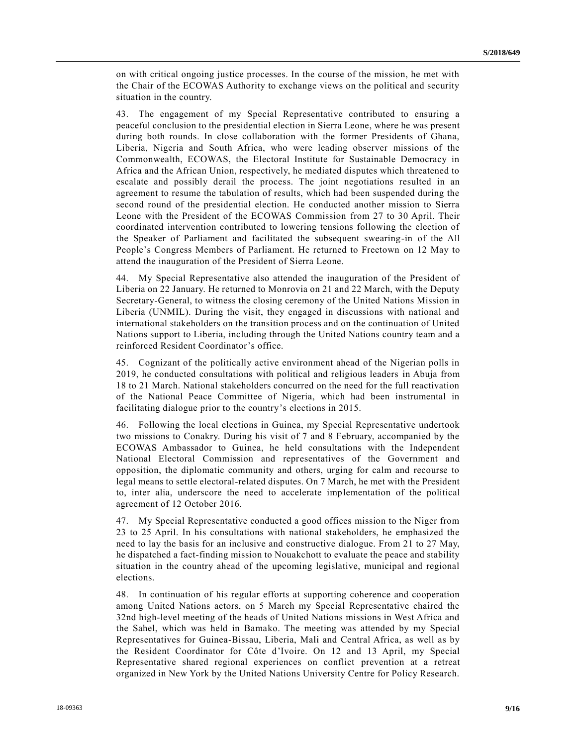on with critical ongoing justice processes. In the course of the mission, he met with the Chair of the ECOWAS Authority to exchange views on the political and security situation in the country.

43. The engagement of my Special Representative contributed to ensuring a peaceful conclusion to the presidential election in Sierra Leone, where he was present during both rounds. In close collaboration with the former Presidents of Ghana, Liberia, Nigeria and South Africa, who were leading observer missions of the Commonwealth, ECOWAS, the Electoral Institute for Sustainable Democracy in Africa and the African Union, respectively, he mediated disputes which threatened to escalate and possibly derail the process. The joint negotiations resulted in an agreement to resume the tabulation of results, which had been suspended during the second round of the presidential election. He conducted another mission to Sierra Leone with the President of the ECOWAS Commission from 27 to 30 April. Their coordinated intervention contributed to lowering tensions following the election of the Speaker of Parliament and facilitated the subsequent swearing-in of the All People's Congress Members of Parliament. He returned to Freetown on 12 May to attend the inauguration of the President of Sierra Leone.

44. My Special Representative also attended the inauguration of the President of Liberia on 22 January. He returned to Monrovia on 21 and 22 March, with the Deputy Secretary-General, to witness the closing ceremony of the United Nations Mission in Liberia (UNMIL). During the visit, they engaged in discussions with national and international stakeholders on the transition process and on the continuation of United Nations support to Liberia, including through the United Nations country team and a reinforced Resident Coordinator's office.

45. Cognizant of the politically active environment ahead of the Nigerian polls in 2019, he conducted consultations with political and religious leaders in Abuja from 18 to 21 March. National stakeholders concurred on the need for the full reactivation of the National Peace Committee of Nigeria, which had been instrumental in facilitating dialogue prior to the country's elections in 2015.

46. Following the local elections in Guinea, my Special Representative undertook two missions to Conakry. During his visit of 7 and 8 February, accompanied by the ECOWAS Ambassador to Guinea, he held consultations with the Independent National Electoral Commission and representatives of the Government and opposition, the diplomatic community and others, urging for calm and recourse to legal means to settle electoral-related disputes. On 7 March, he met with the President to, inter alia, underscore the need to accelerate implementation of the political agreement of 12 October 2016.

47. My Special Representative conducted a good offices mission to the Niger from 23 to 25 April. In his consultations with national stakeholders, he emphasized the need to lay the basis for an inclusive and constructive dialogue. From 21 to 27 May, he dispatched a fact-finding mission to Nouakchott to evaluate the peace and stability situation in the country ahead of the upcoming legislative, municipal and regional elections.

48. In continuation of his regular efforts at supporting coherence and cooperation among United Nations actors, on 5 March my Special Representative chaired the 32nd high-level meeting of the heads of United Nations missions in West Africa and the Sahel, which was held in Bamako. The meeting was attended by my Special Representatives for Guinea-Bissau, Liberia, Mali and Central Africa, as well as by the Resident Coordinator for Côte d'Ivoire. On 12 and 13 April, my Special Representative shared regional experiences on conflict prevention at a retreat organized in New York by the United Nations University Centre for Policy Research.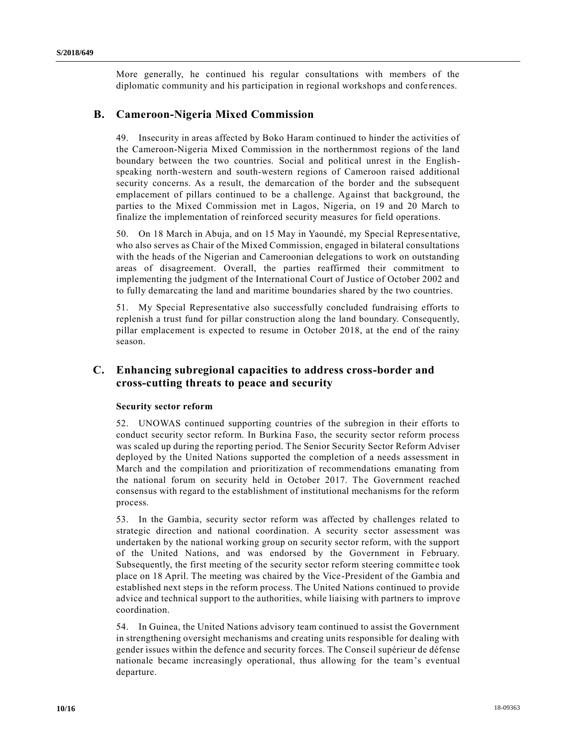More generally, he continued his regular consultations with members of the diplomatic community and his participation in regional workshops and confe rences.

## **B. Cameroon-Nigeria Mixed Commission**

49. Insecurity in areas affected by Boko Haram continued to hinder the activities of the Cameroon-Nigeria Mixed Commission in the northernmost regions of the land boundary between the two countries. Social and political unrest in the Englishspeaking north-western and south-western regions of Cameroon raised additional security concerns. As a result, the demarcation of the border and the subsequent emplacement of pillars continued to be a challenge. Against that background, the parties to the Mixed Commission met in Lagos, Nigeria, on 19 and 20 March to finalize the implementation of reinforced security measures for field operations.

50. On 18 March in Abuja, and on 15 May in Yaoundé, my Special Representative, who also serves as Chair of the Mixed Commission, engaged in bilateral consultations with the heads of the Nigerian and Cameroonian delegations to work on outstanding areas of disagreement. Overall, the parties reaffirmed their commitment to implementing the judgment of the International Court of Justice of October 2002 and to fully demarcating the land and maritime boundaries shared by the two countries.

51. My Special Representative also successfully concluded fundraising efforts to replenish a trust fund for pillar construction along the land boundary. Consequently, pillar emplacement is expected to resume in October 2018, at the end of the rainy season.

## **C. Enhancing subregional capacities to address cross-border and cross-cutting threats to peace and security**

### **Security sector reform**

52. UNOWAS continued supporting countries of the subregion in their efforts to conduct security sector reform. In Burkina Faso, the security sector reform process was scaled up during the reporting period. The Senior Security Sector Reform Adviser deployed by the United Nations supported the completion of a needs assessment in March and the compilation and prioritization of recommendations emanating from the national forum on security held in October 2017. The Government reached consensus with regard to the establishment of institutional mechanisms for the reform process.

53. In the Gambia, security sector reform was affected by challenges related to strategic direction and national coordination. A security sector assessment was undertaken by the national working group on security sector reform, with the support of the United Nations, and was endorsed by the Government in February. Subsequently, the first meeting of the security sector reform steering committe e took place on 18 April. The meeting was chaired by the Vice-President of the Gambia and established next steps in the reform process. The United Nations continued to provide advice and technical support to the authorities, while liaising with partners to improve coordination.

54. In Guinea, the United Nations advisory team continued to assist the Government in strengthening oversight mechanisms and creating units responsible for dealing with gender issues within the defence and security forces. The Conseil supérieur de défense nationale became increasingly operational, thus allowing for the team's eventual departure.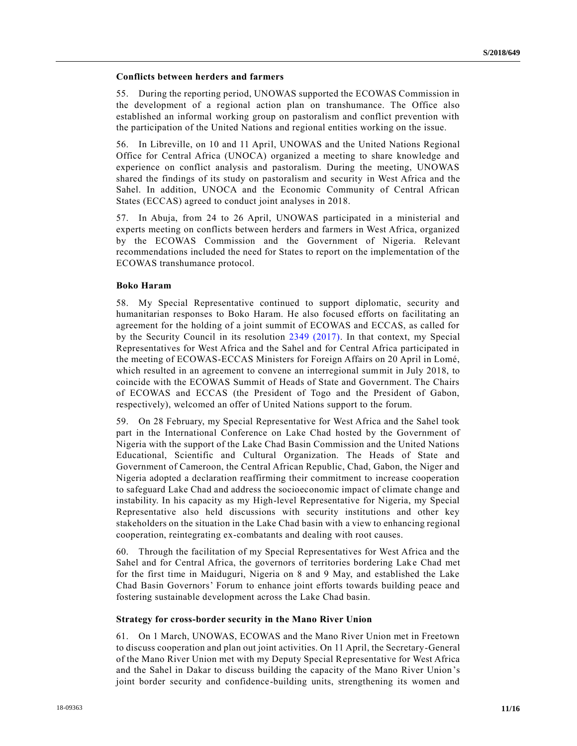### **Conflicts between herders and farmers**

55. During the reporting period, UNOWAS supported the ECOWAS Commission in the development of a regional action plan on transhumance. The Office also established an informal working group on pastoralism and conflict prevention with the participation of the United Nations and regional entities working on the issue.

56. In Libreville, on 10 and 11 April, UNOWAS and the United Nations Regional Office for Central Africa (UNOCA) organized a meeting to share knowledge and experience on conflict analysis and pastoralism. During the meeting, UNOWAS shared the findings of its study on pastoralism and security in West Africa and the Sahel. In addition, UNOCA and the Economic Community of Central African States (ECCAS) agreed to conduct joint analyses in 2018.

57. In Abuja, from 24 to 26 April, UNOWAS participated in a ministerial and experts meeting on conflicts between herders and farmers in West Africa, organized by the ECOWAS Commission and the Government of Nigeria. Relevant recommendations included the need for States to report on the implementation of the ECOWAS transhumance protocol.

### **Boko Haram**

58. My Special Representative continued to support diplomatic, security and humanitarian responses to Boko Haram. He also focused efforts on facilitating an agreement for the holding of a joint summit of ECOWAS and ECCAS, as called for by the Security Council in its resolution [2349 \(2017\).](https://undocs.org/S/RES/2349(2017)) In that context, my Special Representatives for West Africa and the Sahel and for Central Africa participated in the meeting of ECOWAS-ECCAS Ministers for Foreign Affairs on 20 April in Lomé, which resulted in an agreement to convene an interregional summit in July 2018, to coincide with the ECOWAS Summit of Heads of State and Government. The Chairs of ECOWAS and ECCAS (the President of Togo and the President of Gabon, respectively), welcomed an offer of United Nations support to the forum.

59. On 28 February, my Special Representative for West Africa and the Sahel took part in the International Conference on Lake Chad hosted by the Government of Nigeria with the support of the Lake Chad Basin Commission and the United Nations Educational, Scientific and Cultural Organization. The Heads of State and Government of Cameroon, the Central African Republic, Chad, Gabon, the Niger and Nigeria adopted a declaration reaffirming their commitment to increase cooperation to safeguard Lake Chad and address the socioeconomic impact of climate change and instability. In his capacity as my High-level Representative for Nigeria, my Special Representative also held discussions with security institutions and other key stakeholders on the situation in the Lake Chad basin with a view to enhancing regional cooperation, reintegrating ex-combatants and dealing with root causes.

60. Through the facilitation of my Special Representatives for West Africa and the Sahel and for Central Africa, the governors of territories bordering Lake Chad met for the first time in Maiduguri, Nigeria on 8 and 9 May, and established the Lake Chad Basin Governors' Forum to enhance joint efforts towards building peace and fostering sustainable development across the Lake Chad basin.

### **Strategy for cross-border security in the Mano River Union**

61. On 1 March, UNOWAS, ECOWAS and the Mano River Union met in Freetown to discuss cooperation and plan out joint activities. On 11 April, the Secretary-General of the Mano River Union met with my Deputy Special Representative for West Africa and the Sahel in Dakar to discuss building the capacity of the Mano River Union 's joint border security and confidence-building units, strengthening its women and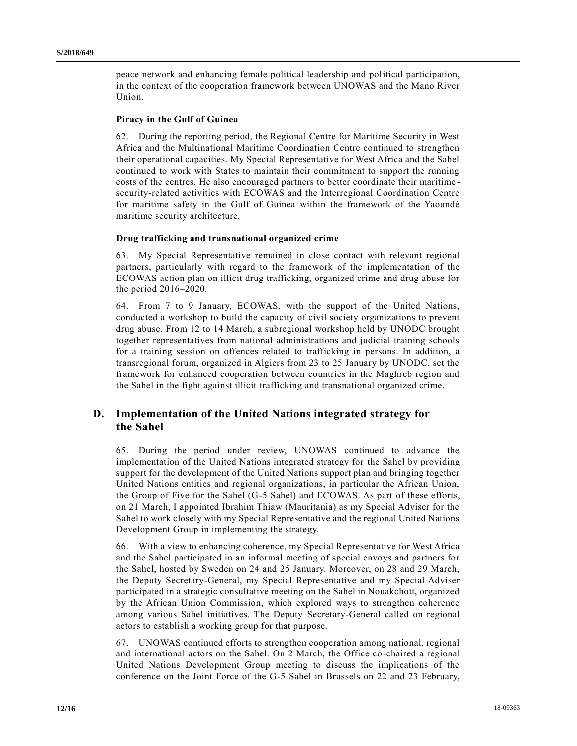peace network and enhancing female political leadership and political participation, in the context of the cooperation framework between UNOWAS and the Mano River Union.

#### **Piracy in the Gulf of Guinea**

62. During the reporting period, the Regional Centre for Maritime Security in West Africa and the Multinational Maritime Coordination Centre continued to strengthen their operational capacities. My Special Representative for West Africa and the Sahel continued to work with States to maintain their commitment to support the running costs of the centres. He also encouraged partners to better coordinate their maritime security-related activities with ECOWAS and the Interregional Coordination Centre for maritime safety in the Gulf of Guinea within the framework of the Yaoundé maritime security architecture.

#### **Drug trafficking and transnational organized crime**

63. My Special Representative remained in close contact with relevant regional partners, particularly with regard to the framework of the implementation of the ECOWAS action plan on illicit drug trafficking, organized crime and drug abuse for the period 2016–2020.

64. From 7 to 9 January, ECOWAS, with the support of the United Nations, conducted a workshop to build the capacity of civil society organizations to prevent drug abuse. From 12 to 14 March, a subregional workshop held by UNODC brought together representatives from national administrations and judicial training schools for a training session on offences related to trafficking in persons. In addition, a transregional forum, organized in Algiers from 23 to 25 January by UNODC, set the framework for enhanced cooperation between countries in the Maghreb region and the Sahel in the fight against illicit trafficking and transnational organized crime.

## **D. Implementation of the United Nations integrated strategy for the Sahel**

65. During the period under review, UNOWAS continued to advance the implementation of the United Nations integrated strategy for the Sahel by providing support for the development of the United Nations support plan and bringing together United Nations entities and regional organizations, in particular the African Union, the Group of Five for the Sahel (G-5 Sahel) and ECOWAS. As part of these efforts, on 21 March, I appointed Ibrahim Thiaw (Mauritania) as my Special Adviser for the Sahel to work closely with my Special Representative and the regional United Nations Development Group in implementing the strategy.

66. With a view to enhancing coherence, my Special Representative for West Africa and the Sahel participated in an informal meeting of special envoys and partners for the Sahel, hosted by Sweden on 24 and 25 January. Moreover, on 28 and 29 March, the Deputy Secretary-General, my Special Representative and my Special Adviser participated in a strategic consultative meeting on the Sahel in Nouakchott, organized by the African Union Commission, which explored ways to strengthen coherence among various Sahel initiatives. The Deputy Secretary-General called on regional actors to establish a working group for that purpose.

67. UNOWAS continued efforts to strengthen cooperation among national, regional and international actors on the Sahel. On 2 March, the Office co-chaired a regional United Nations Development Group meeting to discuss the implications of the conference on the Joint Force of the G-5 Sahel in Brussels on 22 and 23 February,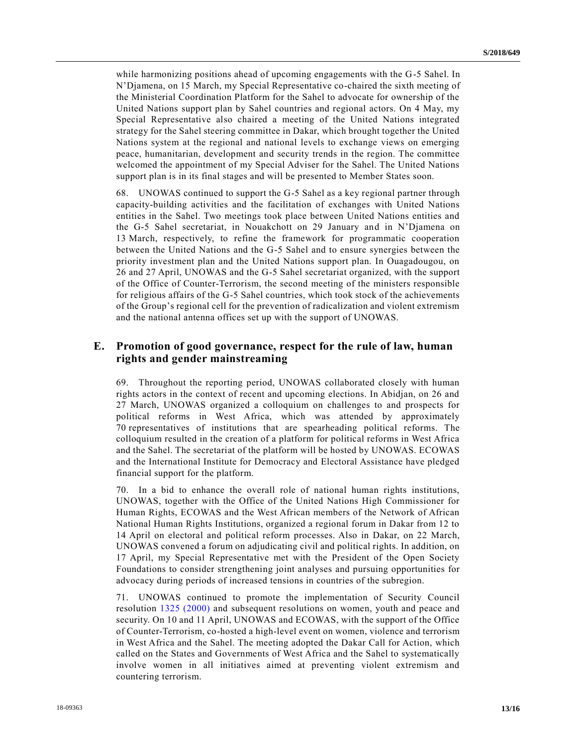while harmonizing positions ahead of upcoming engagements with the G-5 Sahel. In N'Djamena, on 15 March, my Special Representative co-chaired the sixth meeting of the Ministerial Coordination Platform for the Sahel to advocate for ownership of the United Nations support plan by Sahel countries and regional actors. On 4 May, my Special Representative also chaired a meeting of the United Nations integrated strategy for the Sahel steering committee in Dakar, which brought together the United Nations system at the regional and national levels to exchange views on emerging peace, humanitarian, development and security trends in the region. The committee welcomed the appointment of my Special Adviser for the Sahel. The United Nations support plan is in its final stages and will be presented to Member States soon.

68. UNOWAS continued to support the G-5 Sahel as a key regional partner through capacity-building activities and the facilitation of exchanges with United Nations entities in the Sahel. Two meetings took place between United Nations entities and the G-5 Sahel secretariat, in Nouakchott on 29 January and in N'Djamena on 13 March, respectively, to refine the framework for programmatic cooperation between the United Nations and the G-5 Sahel and to ensure synergies between the priority investment plan and the United Nations support plan. In Ouagadougou, on 26 and 27 April, UNOWAS and the G-5 Sahel secretariat organized, with the support of the Office of Counter-Terrorism, the second meeting of the ministers responsible for religious affairs of the G-5 Sahel countries, which took stock of the achievements of the Group's regional cell for the prevention of radicalization and violent extremism and the national antenna offices set up with the support of UNOWAS.

## **E. Promotion of good governance, respect for the rule of law, human rights and gender mainstreaming**

69. Throughout the reporting period, UNOWAS collaborated closely with human rights actors in the context of recent and upcoming elections. In Abidjan, on 26 and 27 March, UNOWAS organized a colloquium on challenges to and prospects for political reforms in West Africa, which was attended by approximately 70 representatives of institutions that are spearheading political reforms. The colloquium resulted in the creation of a platform for political reforms in West Africa and the Sahel. The secretariat of the platform will be hosted by UNOWAS. ECOWAS and the International Institute for Democracy and Electoral Assistance have pledged financial support for the platform.

70. In a bid to enhance the overall role of national human rights institutions, UNOWAS, together with the Office of the United Nations High Commissioner for Human Rights, ECOWAS and the West African members of the Network of African National Human Rights Institutions, organized a regional forum in Dakar from 12 to 14 April on electoral and political reform processes. Also in Dakar, on 22 March, UNOWAS convened a forum on adjudicating civil and political rights. In addition, on 17 April, my Special Representative met with the President of the Open Society Foundations to consider strengthening joint analyses and pursuing opportunities for advocacy during periods of increased tensions in countries of the subregion.

71. UNOWAS continued to promote the implementation of Security Council resolution [1325 \(2000\)](https://undocs.org/S/RES/1325(2000)) and subsequent resolutions on women, youth and peace and security. On 10 and 11 April, UNOWAS and ECOWAS, with the support of the Office of Counter-Terrorism, co-hosted a high-level event on women, violence and terrorism in West Africa and the Sahel. The meeting adopted the Dakar Call for Action, which called on the States and Governments of West Africa and the Sahel to systematically involve women in all initiatives aimed at preventing violent extremism and countering terrorism.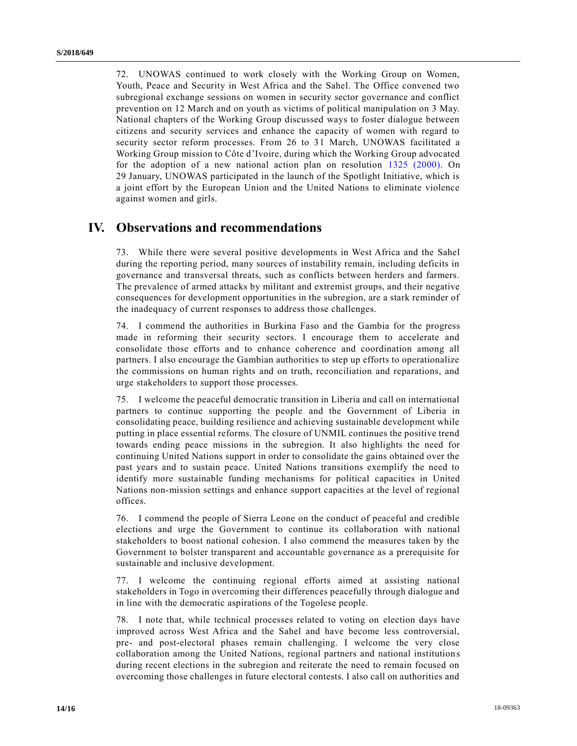72. UNOWAS continued to work closely with the Working Group on Women, Youth, Peace and Security in West Africa and the Sahel. The Office convened two subregional exchange sessions on women in security sector governance and conflict prevention on 12 March and on youth as victims of political manipulation on 3 May. National chapters of the Working Group discussed ways to foster dialogue between citizens and security services and enhance the capacity of women with regard to security sector reform processes. From 26 to 31 March, UNOWAS facilitated a Working Group mission to Côte d'Ivoire, during which the Working Group advocated for the adoption of a new national action plan on resolution [1325 \(2000\).](https://undocs.org/S/RES/1325(2000)) On 29 January, UNOWAS participated in the launch of the Spotlight Initiative, which is a joint effort by the European Union and the United Nations to eliminate violence against women and girls.

## **IV. Observations and recommendations**

73. While there were several positive developments in West Africa and the Sahel during the reporting period, many sources of instability remain, including deficits in governance and transversal threats, such as conflicts between herders and farmers. The prevalence of armed attacks by militant and extremist groups, and their negative consequences for development opportunities in the subregion, are a stark reminder of the inadequacy of current responses to address those challenges.

74. I commend the authorities in Burkina Faso and the Gambia for the progress made in reforming their security sectors. I encourage them to accelerate and consolidate those efforts and to enhance coherence and coordination among all partners. I also encourage the Gambian authorities to step up efforts to operationalize the commissions on human rights and on truth, reconciliation and reparations, and urge stakeholders to support those processes.

75. I welcome the peaceful democratic transition in Liberia and call on international partners to continue supporting the people and the Government of Liberia in consolidating peace, building resilience and achieving sustainable development while putting in place essential reforms. The closure of UNMIL continues the positive trend towards ending peace missions in the subregion. It also highlights the need for continuing United Nations support in order to consolidate the gains obtained over the past years and to sustain peace. United Nations transitions exemplify the need to identify more sustainable funding mechanisms for political capacities in United Nations non-mission settings and enhance support capacities at the level of regional offices.

76. I commend the people of Sierra Leone on the conduct of peaceful and credible elections and urge the Government to continue its collaboration with national stakeholders to boost national cohesion. I also commend the measures taken by the Government to bolster transparent and accountable governance as a prerequisite for sustainable and inclusive development.

77. I welcome the continuing regional efforts aimed at assisting national stakeholders in Togo in overcoming their differences peacefully through dialogue and in line with the democratic aspirations of the Togolese people.

78. I note that, while technical processes related to voting on election days have improved across West Africa and the Sahel and have become less controversial, pre- and post-electoral phases remain challenging. I welcome the very close collaboration among the United Nations, regional partners and national institution s during recent elections in the subregion and reiterate the need to remain focused on overcoming those challenges in future electoral contests. I also call on authorities and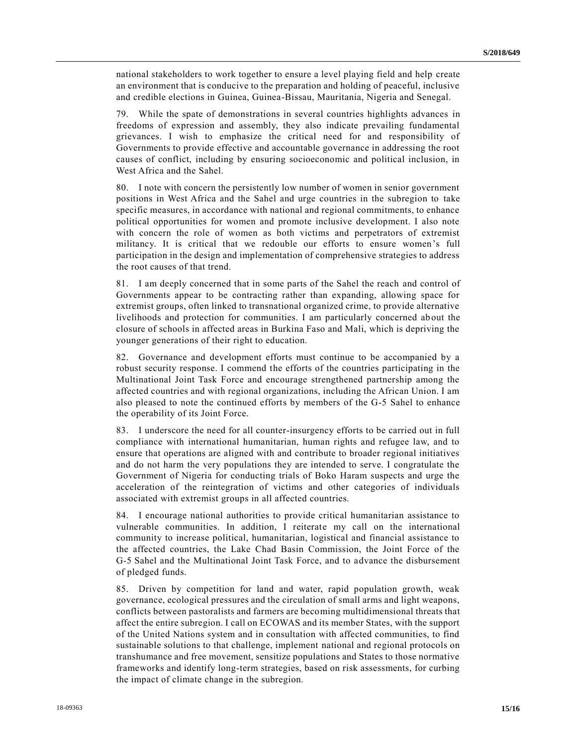national stakeholders to work together to ensure a level playing field and help create an environment that is conducive to the preparation and holding of peaceful, inclusive and credible elections in Guinea, Guinea-Bissau, Mauritania, Nigeria and Senegal.

79. While the spate of demonstrations in several countries highlights advances in freedoms of expression and assembly, they also indicate prevailing fundamental grievances. I wish to emphasize the critical need for and responsibility of Governments to provide effective and accountable governance in addressing the root causes of conflict, including by ensuring socioeconomic and political inclusion, in West Africa and the Sahel.

80. I note with concern the persistently low number of women in senior government positions in West Africa and the Sahel and urge countries in the subregion to take specific measures, in accordance with national and regional commitments, to enhance political opportunities for women and promote inclusive development. I also note with concern the role of women as both victims and perpetrators of extremist militancy. It is critical that we redouble our efforts to ensure women's full participation in the design and implementation of comprehensive strategies to address the root causes of that trend.

81. I am deeply concerned that in some parts of the Sahel the reach and control of Governments appear to be contracting rather than expanding, allowing space for extremist groups, often linked to transnational organized crime, to provide alternative livelihoods and protection for communities. I am particularly concerned ab out the closure of schools in affected areas in Burkina Faso and Mali, which is depriving the younger generations of their right to education.

82. Governance and development efforts must continue to be accompanied by a robust security response. I commend the efforts of the countries participating in the Multinational Joint Task Force and encourage strengthened partnership among the affected countries and with regional organizations, including the African Union. I am also pleased to note the continued efforts by members of the G-5 Sahel to enhance the operability of its Joint Force.

83. I underscore the need for all counter-insurgency efforts to be carried out in full compliance with international humanitarian, human rights and refugee law, and to ensure that operations are aligned with and contribute to broader regional initiatives and do not harm the very populations they are intended to serve. I congratulate the Government of Nigeria for conducting trials of Boko Haram suspects and urge the acceleration of the reintegration of victims and other categories of individuals associated with extremist groups in all affected countries.

84. I encourage national authorities to provide critical humanitarian assistance to vulnerable communities. In addition, I reiterate my call on the international community to increase political, humanitarian, logistical and financial assistance to the affected countries, the Lake Chad Basin Commission, the Joint Force of the G-5 Sahel and the Multinational Joint Task Force, and to advance the disbursement of pledged funds.

85. Driven by competition for land and water, rapid population growth, weak governance, ecological pressures and the circulation of small arms and light weapons, conflicts between pastoralists and farmers are becoming multidimensional threats that affect the entire subregion. I call on ECOWAS and its member States, with the support of the United Nations system and in consultation with affected communities, to find sustainable solutions to that challenge, implement national and regional protocols on transhumance and free movement, sensitize populations and States to those normative frameworks and identify long-term strategies, based on risk assessments, for curbing the impact of climate change in the subregion.